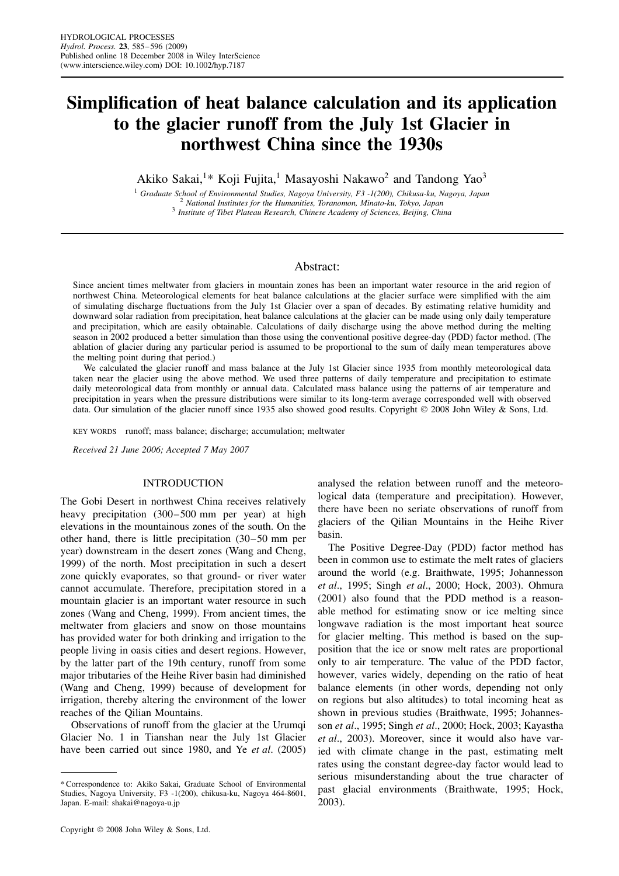# **Simplification of heat balance calculation and its application to the glacier runoff from the July 1st Glacier in northwest China since the 1930s**

Akiko Sakai,<sup>1\*</sup> Koji Fujita,<sup>1</sup> Masayoshi Nakawo<sup>2</sup> and Tandong Yao<sup>3</sup>

<sup>1</sup> Graduate School of Environmental Studies, Nagoya University, F3 -1(200), Chikusa-ku, Nagoya, Japan<sup>2</sup> National Institutes for the Humanities, Toranomon, Minato-ku, Tokyo, Japan<sup>3</sup> Institute of Tibet Plateau Research,

# Abstract:

Since ancient times meltwater from glaciers in mountain zones has been an important water resource in the arid region of northwest China. Meteorological elements for heat balance calculations at the glacier surface were simplified with the aim of simulating discharge fluctuations from the July 1st Glacier over a span of decades. By estimating relative humidity and downward solar radiation from precipitation, heat balance calculations at the glacier can be made using only daily temperature and precipitation, which are easily obtainable. Calculations of daily discharge using the above method during the melting season in 2002 produced a better simulation than those using the conventional positive degree-day (PDD) factor method. (The ablation of glacier during any particular period is assumed to be proportional to the sum of daily mean temperatures above the melting point during that period.)

We calculated the glacier runoff and mass balance at the July 1st Glacier since 1935 from monthly meteorological data taken near the glacier using the above method. We used three patterns of daily temperature and precipitation to estimate daily meteorological data from monthly or annual data. Calculated mass balance using the patterns of air temperature and precipitation in years when the pressure distributions were similar to its long-term average corresponded well with observed data. Our simulation of the glacier runoff since 1935 also showed good results. Copyright © 2008 John Wiley & Sons, Ltd.

KEY WORDS runoff; mass balance; discharge; accumulation; meltwater

*Received 21 June 2006; Accepted 7 May 2007*

## INTRODUCTION

The Gobi Desert in northwest China receives relatively heavy precipitation (300–500 mm per year) at high elevations in the mountainous zones of the south. On the other hand, there is little precipitation (30–50 mm per year) downstream in the desert zones (Wang and Cheng, 1999) of the north. Most precipitation in such a desert zone quickly evaporates, so that ground- or river water cannot accumulate. Therefore, precipitation stored in a mountain glacier is an important water resource in such zones (Wang and Cheng, 1999). From ancient times, the meltwater from glaciers and snow on those mountains has provided water for both drinking and irrigation to the people living in oasis cities and desert regions. However, by the latter part of the 19th century, runoff from some major tributaries of the Heihe River basin had diminished (Wang and Cheng, 1999) because of development for irrigation, thereby altering the environment of the lower reaches of the Qilian Mountains.

Observations of runoff from the glacier at the Urumqi Glacier No. 1 in Tianshan near the July 1st Glacier have been carried out since 1980, and Ye *et al*. (2005) analysed the relation between runoff and the meteorological data (temperature and precipitation). However, there have been no seriate observations of runoff from glaciers of the Qilian Mountains in the Heihe River basin.

The Positive Degree-Day (PDD) factor method has been in common use to estimate the melt rates of glaciers around the world (e.g. Braithwate, 1995; Johannesson *et al*., 1995; Singh *et al*., 2000; Hock, 2003). Ohmura (2001) also found that the PDD method is a reasonable method for estimating snow or ice melting since longwave radiation is the most important heat source for glacier melting. This method is based on the supposition that the ice or snow melt rates are proportional only to air temperature. The value of the PDD factor, however, varies widely, depending on the ratio of heat balance elements (in other words, depending not only on regions but also altitudes) to total incoming heat as shown in previous studies (Braithwate, 1995; Johannesson *et al*., 1995; Singh *et al*., 2000; Hock, 2003; Kayastha *et al*., 2003). Moreover, since it would also have varied with climate change in the past, estimating melt rates using the constant degree-day factor would lead to serious misunderstanding about the true character of past glacial environments (Braithwate, 1995; Hock, 2003).

<sup>\*</sup> Correspondence to: Akiko Sakai, Graduate School of Environmental Studies, Nagoya University, F3 -1(200), chikusa-ku, Nagoya 464-8601, Japan. E-mail: shakai@nagoya-u.jp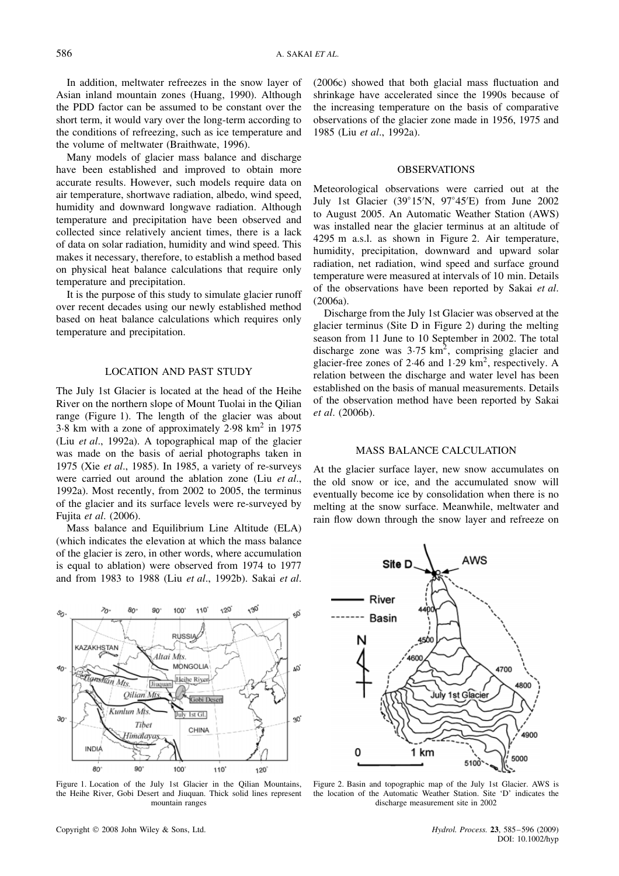In addition, meltwater refreezes in the snow layer of Asian inland mountain zones (Huang, 1990). Although the PDD factor can be assumed to be constant over the short term, it would vary over the long-term according to the conditions of refreezing, such as ice temperature and the volume of meltwater (Braithwate, 1996).

Many models of glacier mass balance and discharge have been established and improved to obtain more accurate results. However, such models require data on air temperature, shortwave radiation, albedo, wind speed, humidity and downward longwave radiation. Although temperature and precipitation have been observed and collected since relatively ancient times, there is a lack of data on solar radiation, humidity and wind speed. This makes it necessary, therefore, to establish a method based on physical heat balance calculations that require only temperature and precipitation.

It is the purpose of this study to simulate glacier runoff over recent decades using our newly established method based on heat balance calculations which requires only temperature and precipitation.

## LOCATION AND PAST STUDY

The July 1st Glacier is located at the head of the Heihe River on the northern slope of Mount Tuolai in the Qilian range (Figure 1). The length of the glacier was about 3.8 km with a zone of approximately  $2.98 \text{ km}^2$  in 1975 (Liu *et al*., 1992a). A topographical map of the glacier was made on the basis of aerial photographs taken in 1975 (Xie *et al*., 1985). In 1985, a variety of re-surveys were carried out around the ablation zone (Liu *et al*., 1992a). Most recently, from 2002 to 2005, the terminus of the glacier and its surface levels were re-surveyed by Fujita *et al*. (2006).

Mass balance and Equilibrium Line Altitude (ELA) (which indicates the elevation at which the mass balance of the glacier is zero, in other words, where accumulation is equal to ablation) were observed from 1974 to 1977 and from 1983 to 1988 (Liu *et al*., 1992b). Sakai *et al*.



Figure 1. Location of the July 1st Glacier in the Qilian Mountains, the Heihe River, Gobi Desert and Jiuquan. Thick solid lines represent mountain ranges

(2006c) showed that both glacial mass fluctuation and shrinkage have accelerated since the 1990s because of the increasing temperature on the basis of comparative observations of the glacier zone made in 1956, 1975 and 1985 (Liu *et al*., 1992a).

# **OBSERVATIONS**

Meteorological observations were carried out at the July 1st Glacier (39°15'N, 97°45'E) from June 2002 to August 2005. An Automatic Weather Station (AWS) was installed near the glacier terminus at an altitude of 4295 m a.s.l. as shown in Figure 2. Air temperature, humidity, precipitation, downward and upward solar radiation, net radiation, wind speed and surface ground temperature were measured at intervals of 10 min. Details of the observations have been reported by Sakai *et al*. (2006a).

Discharge from the July 1st Glacier was observed at the glacier terminus (Site D in Figure 2) during the melting season from 11 June to 10 September in 2002. The total discharge zone was  $3.75 \text{ km}^2$ , comprising glacier and glacier-free zones of 2.46 and  $1.29 \text{ km}^2$ , respectively. A relation between the discharge and water level has been established on the basis of manual measurements. Details of the observation method have been reported by Sakai *et al*. (2006b).

## MASS BALANCE CALCULATION

At the glacier surface layer, new snow accumulates on the old snow or ice, and the accumulated snow will eventually become ice by consolidation when there is no melting at the snow surface. Meanwhile, meltwater and rain flow down through the snow layer and refreeze on



Figure 2. Basin and topographic map of the July 1st Glacier. AWS is the location of the Automatic Weather Station. Site 'D' indicates the discharge measurement site in 2002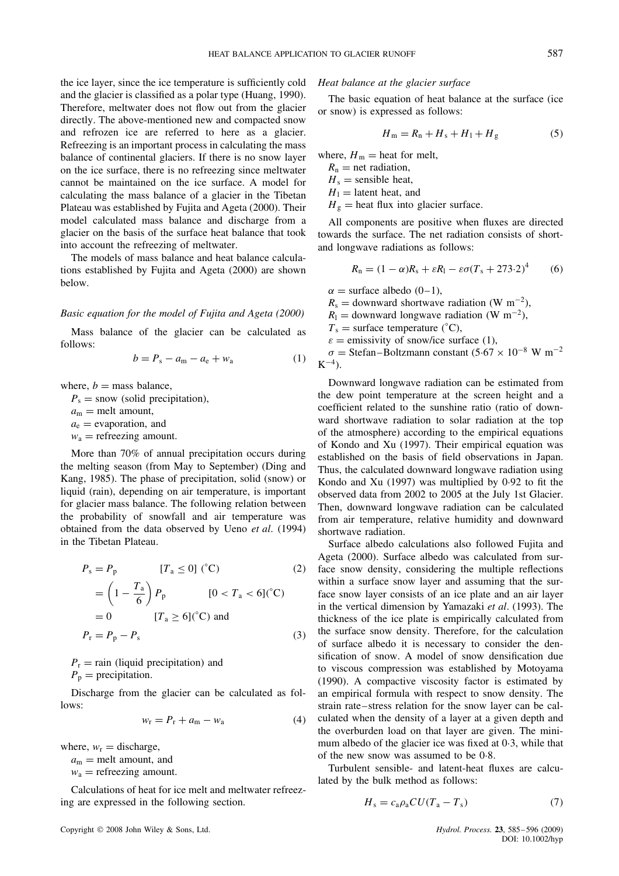the ice layer, since the ice temperature is sufficiently cold and the glacier is classified as a polar type (Huang, 1990). Therefore, meltwater does not flow out from the glacier directly. The above-mentioned new and compacted snow and refrozen ice are referred to here as a glacier. Refreezing is an important process in calculating the mass balance of continental glaciers. If there is no snow layer on the ice surface, there is no refreezing since meltwater cannot be maintained on the ice surface. A model for calculating the mass balance of a glacier in the Tibetan Plateau was established by Fujita and Ageta (2000). Their model calculated mass balance and discharge from a glacier on the basis of the surface heat balance that took into account the refreezing of meltwater.

The models of mass balance and heat balance calculations established by Fujita and Ageta (2000) are shown below.

# *Basic equation for the model of Fujita and Ageta (2000)*

Mass balance of the glacier can be calculated as follows:

$$
b = P_s - a_m - a_e + w_a \tag{1}
$$

where,  $b =$  mass balance,

 $P_s$  = snow (solid precipitation),

 $a_m$  = melt amount,

 $a_e$  = evaporation, and

 $w_a$  = refreezing amount.

More than 70% of annual precipitation occurs during the melting season (from May to September) (Ding and Kang, 1985). The phase of precipitation, solid (snow) or liquid (rain), depending on air temperature, is important for glacier mass balance. The following relation between the probability of snowfall and air temperature was obtained from the data observed by Ueno *et al*. (1994) in the Tibetan Plateau.

$$
P_s = P_p \qquad [T_a \le 0] (^{\circ}C) \tag{2}
$$

$$
= \left(1 - \frac{T_a}{6}\right) P_p \qquad [0 < T_a < 6]({}^{\circ}\text{C})
$$

$$
= 0 \qquad [T_a \ge 6]({}^{\circ}\text{C}) \text{ and}
$$

$$
P_r = P_p - P_s \qquad (3)
$$

 $P_r$  = rain (liquid precipitation) and  $P_p$  = precipitation.

Discharge from the glacier can be calculated as follows:

$$
w_{\rm r} = P_{\rm r} + a_{\rm m} - w_{\rm a} \tag{4}
$$

where,  $w_r$  = discharge,

 $a_m$  = melt amount, and

 $w_a$  = refreezing amount.

Calculations of heat for ice melt and meltwater refreezing are expressed in the following section.

Copyright 2008 John Wiley & Sons, Ltd. *Hydrol. Process.* **23**, 585–596 (2009)

## *Heat balance at the glacier surface*

The basic equation of heat balance at the surface (ice or snow) is expressed as follows:

$$
H_{\rm m} = R_{\rm n} + H_{\rm s} + H_1 + H_{\rm g} \tag{5}
$$

where,  $H_m$  = heat for melt,

 $R_n$  = net radiation,  $H_s$  = sensible heat,  $H_1$  = latent heat, and  $H<sub>g</sub>$  = heat flux into glacier surface.

All components are positive when fluxes are directed towards the surface. The net radiation consists of shortand longwave radiations as follows:

$$
R_{\rm n} = (1 - \alpha)R_{\rm s} + \varepsilon R_{\rm l} - \varepsilon \sigma (T_{\rm s} + 273.2)^4 \qquad (6)
$$

 $\alpha$  = surface albedo (0–1),

 $R_s =$  downward shortwave radiation (W m<sup>-2</sup>),  $R_1$  = downward longwave radiation (W m<sup>-2</sup>),  $T_s$  = surface temperature (°C),  $\varepsilon$  = emissivity of snow/ice surface (1),  $\sigma =$  Stefan–Boltzmann constant (5.67  $\times$  10<sup>-8</sup> W m<sup>-2</sup>  $K^{-4}$ ).

Downward longwave radiation can be estimated from the dew point temperature at the screen height and a coefficient related to the sunshine ratio (ratio of downward shortwave radiation to solar radiation at the top of the atmosphere) according to the empirical equations of Kondo and Xu (1997). Their empirical equation was established on the basis of field observations in Japan. Thus, the calculated downward longwave radiation using Kondo and Xu  $(1997)$  was multiplied by 0.92 to fit the observed data from 2002 to 2005 at the July 1st Glacier. Then, downward longwave radiation can be calculated from air temperature, relative humidity and downward shortwave radiation.

Surface albedo calculations also followed Fujita and Ageta (2000). Surface albedo was calculated from surface snow density, considering the multiple reflections within a surface snow layer and assuming that the surface snow layer consists of an ice plate and an air layer in the vertical dimension by Yamazaki *et al*. (1993). The thickness of the ice plate is empirically calculated from the surface snow density. Therefore, for the calculation of surface albedo it is necessary to consider the densification of snow. A model of snow densification due to viscous compression was established by Motoyama (1990). A compactive viscosity factor is estimated by an empirical formula with respect to snow density. The strain rate–stress relation for the snow layer can be calculated when the density of a layer at a given depth and the overburden load on that layer are given. The minimum albedo of the glacier ice was fixed at  $0.3$ , while that of the new snow was assumed to be 0Ð8.

Turbulent sensible- and latent-heat fluxes are calculated by the bulk method as follows:

$$
H_s = c_a \rho_a C U (T_a - T_s) \tag{7}
$$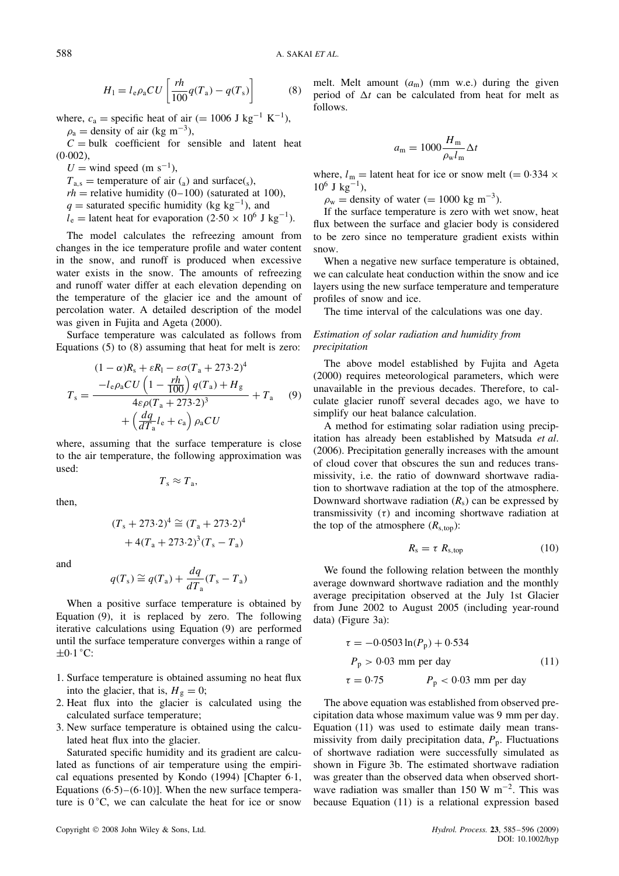$$
H_1 = l_e \rho_a C U \left[ \frac{rh}{100} q(T_a) - q(T_s) \right]
$$
 (8)

where,  $c_a$  = specific heat of air (= 1006 J kg<sup>-1</sup> K<sup>-1</sup>),  $\rho_a$  = density of air (kg m<sup>-3</sup>),

 $C = \text{bulk coefficient}$  for sensible and latent heat  $(0.002)$ ,

 $U =$  wind speed (m s<sup>-1</sup>),

 $T_{\text{a.s}}$  = temperature of air (<sub>a</sub>) and surface(<sub>s</sub>),

 $rh$  = relative humidity (0–100) (saturated at 100),

 $q =$  saturated specific humidity (kg kg<sup>-1</sup>), and

 $l_e$  = latent heat for evaporation (2.50  $\times$  10<sup>6</sup> J kg<sup>-1</sup>).

The model calculates the refreezing amount from changes in the ice temperature profile and water content in the snow, and runoff is produced when excessive water exists in the snow. The amounts of refreezing and runoff water differ at each elevation depending on the temperature of the glacier ice and the amount of percolation water. A detailed description of the model was given in Fujita and Ageta (2000).

Surface temperature was calculated as follows from Equations (5) to (8) assuming that heat for melt is zero:

$$
(1 - \alpha)R_s + \varepsilon R_1 - \varepsilon \sigma (T_a + 273.2)^4
$$
  

$$
T_s = \frac{-l_e \rho_a C U \left(1 - \frac{rh}{100}\right) q(T_a) + H_g}{4\varepsilon \rho (T_a + 273.2)^3} + T_a
$$
 (9)  

$$
+ \left(\frac{dq}{dT_a} l_e + c_a\right) \rho_a C U
$$

where, assuming that the surface temperature is close to the air temperature, the following approximation was used:

$$
T_{\rm s}\approx T_{\rm a},
$$

then,

$$
(T_s + 273.2)^4 \cong (T_a + 273.2)^4
$$

$$
+ 4(T_a + 273.2)^3 (T_s - T_a)
$$

and

$$
q(Ts) \cong q(Ta) + \frac{dq}{dTa}(Ts - Ta)
$$

When a positive surface temperature is obtained by Equation (9), it is replaced by zero. The following iterative calculations using Equation (9) are performed until the surface temperature converges within a range of  $\pm 0.1$  °C:

- 1. Surface temperature is obtained assuming no heat flux into the glacier, that is,  $H_g = 0$ ;
- 2. Heat flux into the glacier is calculated using the calculated surface temperature;
- 3. New surface temperature is obtained using the calculated heat flux into the glacier.

Saturated specific humidity and its gradient are calculated as functions of air temperature using the empirical equations presented by Kondo (1994) [Chapter 6.1, Equations  $(6.5)$ – $(6.10)$ ]. When the new surface temperature is  $0^{\circ}$ C, we can calculate the heat for ice or snow

melt. Melt amount  $(a_m)$  (mm w.e.) during the given period of  $\Delta t$  can be calculated from heat for melt as follows.

$$
a_{\rm m} = 1000 \frac{H_{\rm m}}{\rho_{\rm w} l_{\rm m}} \Delta t
$$

where,  $l_m$  = latent heat for ice or snow melt (= 0.334  $\times$  $10^6$  J kg<sup>-1</sup>),

 $\rho_w$  = density of water (= 1000 kg m<sup>-3</sup>).

If the surface temperature is zero with wet snow, heat flux between the surface and glacier body is considered to be zero since no temperature gradient exists within snow.

When a negative new surface temperature is obtained, we can calculate heat conduction within the snow and ice layers using the new surface temperature and temperature profiles of snow and ice.

The time interval of the calculations was one day.

# *Estimation of solar radiation and humidity from precipitation*

The above model established by Fujita and Ageta (2000) requires meteorological parameters, which were unavailable in the previous decades. Therefore, to calculate glacier runoff several decades ago, we have to simplify our heat balance calculation.

A method for estimating solar radiation using precipitation has already been established by Matsuda *et al*. (2006). Precipitation generally increases with the amount of cloud cover that obscures the sun and reduces transmissivity, i.e. the ratio of downward shortwave radiation to shortwave radiation at the top of the atmosphere. Downward shortwave radiation  $(R_s)$  can be expressed by transmissivity  $(\tau)$  and incoming shortwave radiation at the top of the atmosphere  $(R_{s,\text{top}})$ :

$$
R_{\rm s} = \tau \ R_{\rm s,top} \tag{10}
$$

We found the following relation between the monthly average downward shortwave radiation and the monthly average precipitation observed at the July 1st Glacier from June 2002 to August 2005 (including year-round data) (Figure 3a):

$$
τ = -0.0503 \ln(Pp) + 0.534
$$
  
\n
$$
Pp > 0.03 mm per day
$$
 (11)  
\n
$$
τ = 0.75
$$
 
$$
Pp < 0.03 mm per day
$$

The above equation was established from observed precipitation data whose maximum value was 9 mm per day. Equation (11) was used to estimate daily mean transmissivity from daily precipitation data,  $P_p$ . Fluctuations of shortwave radiation were successfully simulated as shown in Figure 3b. The estimated shortwave radiation was greater than the observed data when observed shortwave radiation was smaller than 150 W  $\text{m}^{-2}$ . This was because Equation (11) is a relational expression based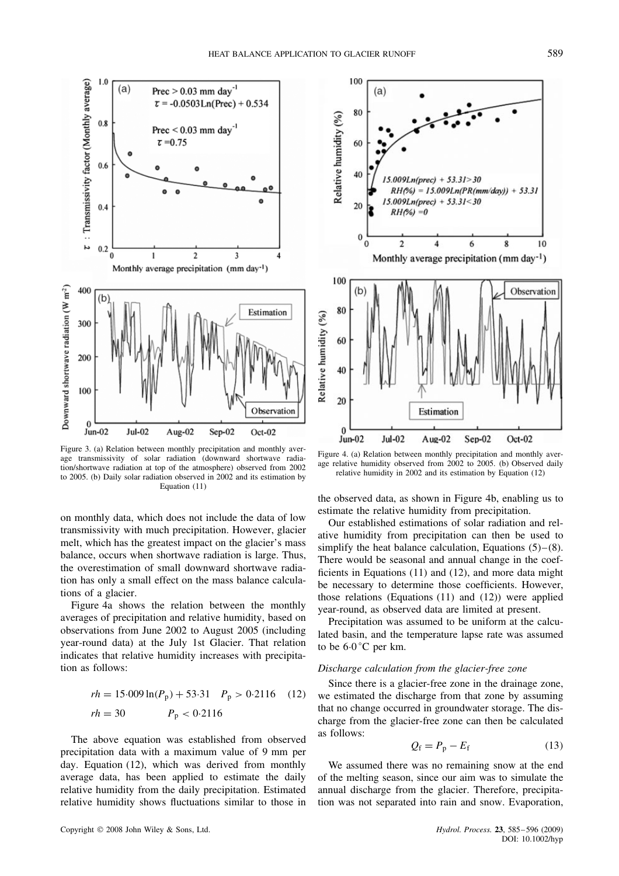

Figure 3. (a) Relation between monthly precipitation and monthly average transmissivity of solar radiation (downward shortwave radiation/shortwave radiation at top of the atmosphere) observed from 2002 to 2005. (b) Daily solar radiation observed in 2002 and its estimation by Equation (11)

on monthly data, which does not include the data of low transmissivity with much precipitation. However, glacier melt, which has the greatest impact on the glacier's mass balance, occurs when shortwave radiation is large. Thus, the overestimation of small downward shortwave radiation has only a small effect on the mass balance calculations of a glacier.

Figure 4a shows the relation between the monthly averages of precipitation and relative humidity, based on observations from June 2002 to August 2005 (including year-round data) at the July 1st Glacier. That relation indicates that relative humidity increases with precipitation as follows:

$$
rh = 15.009 \ln(P_p) + 53.31 \quad P_p > 0.2116 \quad (12)
$$
  

$$
rh = 30 \qquad P_p < 0.2116
$$

The above equation was established from observed precipitation data with a maximum value of 9 mm per day. Equation (12), which was derived from monthly average data, has been applied to estimate the daily relative humidity from the daily precipitation. Estimated relative humidity shows fluctuations similar to those in



Figure 4. (a) Relation between monthly precipitation and monthly average relative humidity observed from 2002 to 2005. (b) Observed daily relative humidity in 2002 and its estimation by Equation (12)

the observed data, as shown in Figure 4b, enabling us to estimate the relative humidity from precipitation.

Our established estimations of solar radiation and relative humidity from precipitation can then be used to simplify the heat balance calculation, Equations (5)–(8). There would be seasonal and annual change in the coefficients in Equations (11) and (12), and more data might be necessary to determine those coefficients. However, those relations (Equations (11) and (12)) were applied year-round, as observed data are limited at present.

Precipitation was assumed to be uniform at the calculated basin, and the temperature lapse rate was assumed to be  $6.0^{\circ}$ C per km.

## *Discharge calculation from the glacier-free zone*

Since there is a glacier-free zone in the drainage zone, we estimated the discharge from that zone by assuming that no change occurred in groundwater storage. The discharge from the glacier-free zone can then be calculated as follows:

$$
Q_{\rm f} = P_{\rm p} - E_{\rm f} \tag{13}
$$

We assumed there was no remaining snow at the end of the melting season, since our aim was to simulate the annual discharge from the glacier. Therefore, precipitation was not separated into rain and snow. Evaporation,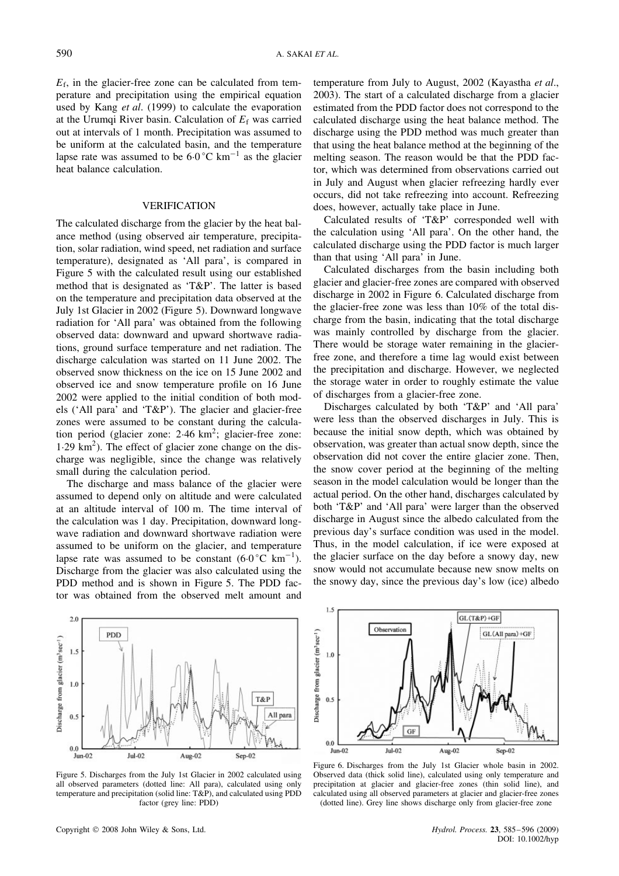$E_f$ , in the glacier-free zone can be calculated from temperature and precipitation using the empirical equation used by Kang *et al*. (1999) to calculate the evaporation at the Urumqi River basin. Calculation of  $E_f$  was carried out at intervals of 1 month. Precipitation was assumed to be uniform at the calculated basin, and the temperature lapse rate was assumed to be  $6.0\degree C \text{ km}^{-1}$  as the glacier heat balance calculation.

## VERIFICATION

The calculated discharge from the glacier by the heat balance method (using observed air temperature, precipitation, solar radiation, wind speed, net radiation and surface temperature), designated as 'All para', is compared in Figure 5 with the calculated result using our established method that is designated as 'T&P'. The latter is based on the temperature and precipitation data observed at the July 1st Glacier in 2002 (Figure 5). Downward longwave radiation for 'All para' was obtained from the following observed data: downward and upward shortwave radiations, ground surface temperature and net radiation. The discharge calculation was started on 11 June 2002. The observed snow thickness on the ice on 15 June 2002 and observed ice and snow temperature profile on 16 June 2002 were applied to the initial condition of both models ('All para' and 'T&P'). The glacier and glacier-free zones were assumed to be constant during the calculation period (glacier zone:  $2.46 \text{ km}^2$ ; glacier-free zone:  $1.29 \text{ km}^2$ ). The effect of glacier zone change on the discharge was negligible, since the change was relatively small during the calculation period.

The discharge and mass balance of the glacier were assumed to depend only on altitude and were calculated at an altitude interval of 100 m. The time interval of the calculation was 1 day. Precipitation, downward longwave radiation and downward shortwave radiation were assumed to be uniform on the glacier, and temperature lapse rate was assumed to be constant  $(6.0\degree\text{C km}^{-1})$ . Discharge from the glacier was also calculated using the PDD method and is shown in Figure 5. The PDD factor was obtained from the observed melt amount and

temperature from July to August, 2002 (Kayastha *et al*., 2003). The start of a calculated discharge from a glacier estimated from the PDD factor does not correspond to the calculated discharge using the heat balance method. The discharge using the PDD method was much greater than that using the heat balance method at the beginning of the melting season. The reason would be that the PDD factor, which was determined from observations carried out in July and August when glacier refreezing hardly ever occurs, did not take refreezing into account. Refreezing does, however, actually take place in June.

Calculated results of 'T&P' corresponded well with the calculation using 'All para'. On the other hand, the calculated discharge using the PDD factor is much larger than that using 'All para' in June.

Calculated discharges from the basin including both glacier and glacier-free zones are compared with observed discharge in 2002 in Figure 6. Calculated discharge from the glacier-free zone was less than 10% of the total discharge from the basin, indicating that the total discharge was mainly controlled by discharge from the glacier. There would be storage water remaining in the glacierfree zone, and therefore a time lag would exist between the precipitation and discharge. However, we neglected the storage water in order to roughly estimate the value of discharges from a glacier-free zone.

Discharges calculated by both 'T&P' and 'All para' were less than the observed discharges in July. This is because the initial snow depth, which was obtained by observation, was greater than actual snow depth, since the observation did not cover the entire glacier zone. Then, the snow cover period at the beginning of the melting season in the model calculation would be longer than the actual period. On the other hand, discharges calculated by both 'T&P' and 'All para' were larger than the observed discharge in August since the albedo calculated from the previous day's surface condition was used in the model. Thus, in the model calculation, if ice were exposed at the glacier surface on the day before a snowy day, new snow would not accumulate because new snow melts on the snowy day, since the previous day's low (ice) albedo



Figure 5. Discharges from the July 1st Glacier in 2002 calculated using all observed parameters (dotted line: All para), calculated using only temperature and precipitation (solid line: T&P), and calculated using PDD factor (grey line: PDD)



Figure 6. Discharges from the July 1st Glacier whole basin in 2002. Observed data (thick solid line), calculated using only temperature and precipitation at glacier and glacier-free zones (thin solid line), and calculated using all observed parameters at glacier and glacier-free zones (dotted line). Grey line shows discharge only from glacier-free zone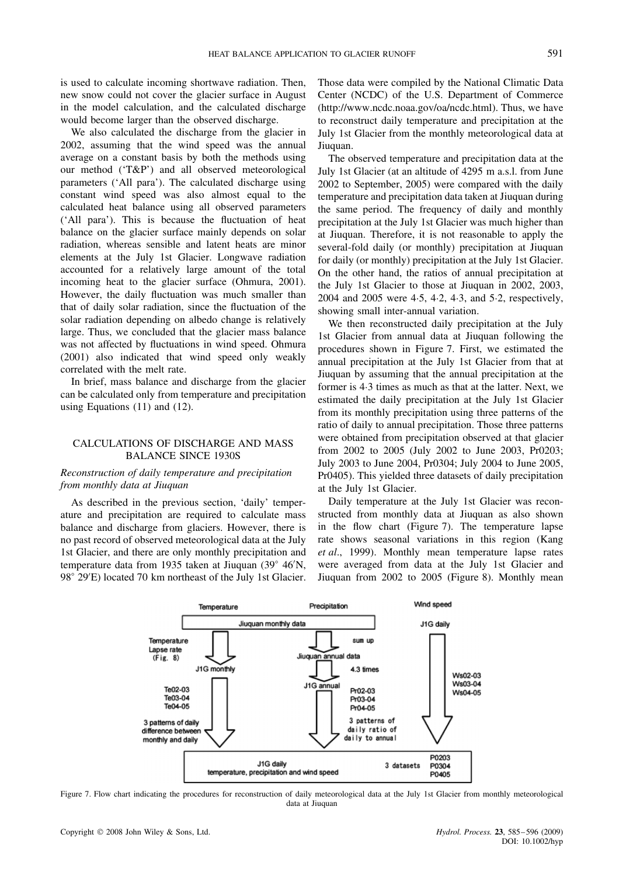is used to calculate incoming shortwave radiation. Then, new snow could not cover the glacier surface in August in the model calculation, and the calculated discharge would become larger than the observed discharge.

We also calculated the discharge from the glacier in 2002, assuming that the wind speed was the annual average on a constant basis by both the methods using our method ('T&P') and all observed meteorological parameters ('All para'). The calculated discharge using constant wind speed was also almost equal to the calculated heat balance using all observed parameters ('All para'). This is because the fluctuation of heat balance on the glacier surface mainly depends on solar radiation, whereas sensible and latent heats are minor elements at the July 1st Glacier. Longwave radiation accounted for a relatively large amount of the total incoming heat to the glacier surface (Ohmura, 2001). However, the daily fluctuation was much smaller than that of daily solar radiation, since the fluctuation of the solar radiation depending on albedo change is relatively large. Thus, we concluded that the glacier mass balance was not affected by fluctuations in wind speed. Ohmura (2001) also indicated that wind speed only weakly correlated with the melt rate.

In brief, mass balance and discharge from the glacier can be calculated only from temperature and precipitation using Equations (11) and (12).

# CALCULATIONS OF DISCHARGE AND MASS BALANCE SINCE 1930S

# *Reconstruction of daily temperature and precipitation from monthly data at Jiuquan*

As described in the previous section, 'daily' temperature and precipitation are required to calculate mass balance and discharge from glaciers. However, there is no past record of observed meteorological data at the July 1st Glacier, and there are only monthly precipitation and temperature data from 1935 taken at Jiuquan  $(39^{\circ} 46^{\prime} N,$ 98° 29'E) located 70 km northeast of the July 1st Glacier.

Those data were compiled by the National Climatic Data Center (NCDC) of the U.S. Department of Commerce (http://www.ncdc.noaa.gov/oa/ncdc.html). Thus, we have to reconstruct daily temperature and precipitation at the July 1st Glacier from the monthly meteorological data at Jiuquan.

The observed temperature and precipitation data at the July 1st Glacier (at an altitude of 4295 m a.s.l. from June 2002 to September, 2005) were compared with the daily temperature and precipitation data taken at Jiuquan during the same period. The frequency of daily and monthly precipitation at the July 1st Glacier was much higher than at Jiuquan. Therefore, it is not reasonable to apply the several-fold daily (or monthly) precipitation at Jiuquan for daily (or monthly) precipitation at the July 1st Glacier. On the other hand, the ratios of annual precipitation at the July 1st Glacier to those at Jiuquan in 2002, 2003, 2004 and 2005 were 4.5, 4.2, 4.3, and 5.2, respectively, showing small inter-annual variation.

We then reconstructed daily precipitation at the July 1st Glacier from annual data at Jiuquan following the procedures shown in Figure 7. First, we estimated the annual precipitation at the July 1st Glacier from that at Jiuquan by assuming that the annual precipitation at the former is 4.3 times as much as that at the latter. Next, we estimated the daily precipitation at the July 1st Glacier from its monthly precipitation using three patterns of the ratio of daily to annual precipitation. Those three patterns were obtained from precipitation observed at that glacier from 2002 to 2005 (July 2002 to June 2003, Pr0203; July 2003 to June 2004, Pr0304; July 2004 to June 2005, Pr0405). This yielded three datasets of daily precipitation at the July 1st Glacier.

Daily temperature at the July 1st Glacier was reconstructed from monthly data at Jiuquan as also shown in the flow chart (Figure 7). The temperature lapse rate shows seasonal variations in this region (Kang *et al*., 1999). Monthly mean temperature lapse rates were averaged from data at the July 1st Glacier and Jiuquan from 2002 to 2005 (Figure 8). Monthly mean



Figure 7. Flow chart indicating the procedures for reconstruction of daily meteorological data at the July 1st Glacier from monthly meteorological data at Jiuquan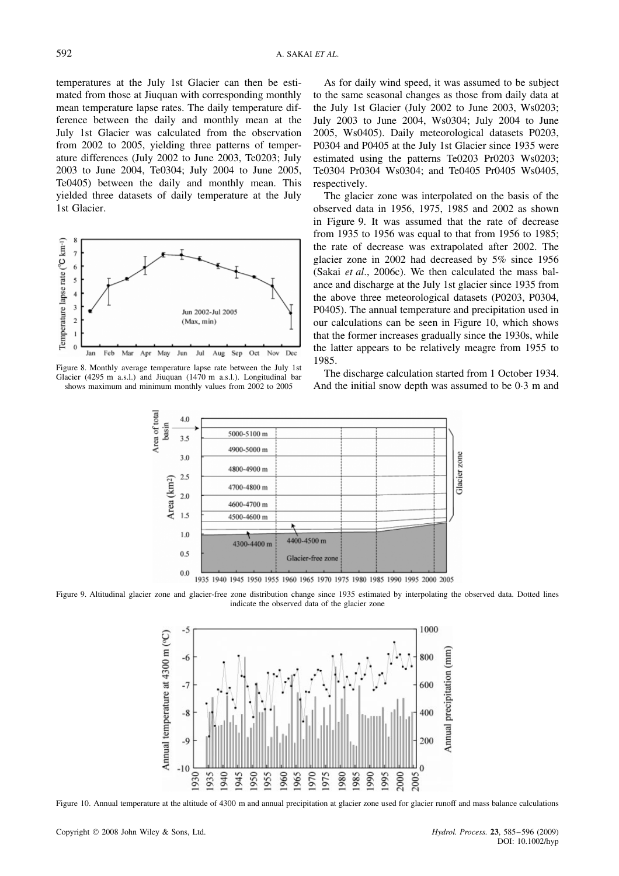temperatures at the July 1st Glacier can then be estimated from those at Jiuquan with corresponding monthly mean temperature lapse rates. The daily temperature difference between the daily and monthly mean at the July 1st Glacier was calculated from the observation from 2002 to 2005, yielding three patterns of temperature differences (July 2002 to June 2003, Te0203; July 2003 to June 2004, Te0304; July 2004 to June 2005, Te0405) between the daily and monthly mean. This yielded three datasets of daily temperature at the July 1st Glacier.



Figure 8. Monthly average temperature lapse rate between the July 1st Glacier (4295 m a.s.l.) and Jiuquan (1470 m a.s.l.). Longitudinal bar shows maximum and minimum monthly values from 2002 to 2005

As for daily wind speed, it was assumed to be subject to the same seasonal changes as those from daily data at the July 1st Glacier (July 2002 to June 2003, Ws0203; July 2003 to June 2004, Ws0304; July 2004 to June 2005, Ws0405). Daily meteorological datasets P0203, P0304 and P0405 at the July 1st Glacier since 1935 were estimated using the patterns Te0203 Pr0203 Ws0203; Te0304 Pr0304 Ws0304; and Te0405 Pr0405 Ws0405, respectively.

The glacier zone was interpolated on the basis of the observed data in 1956, 1975, 1985 and 2002 as shown in Figure 9. It was assumed that the rate of decrease from 1935 to 1956 was equal to that from 1956 to 1985; the rate of decrease was extrapolated after 2002. The glacier zone in 2002 had decreased by 5% since 1956 (Sakai *et al*., 2006c). We then calculated the mass balance and discharge at the July 1st glacier since 1935 from the above three meteorological datasets (P0203, P0304, P0405). The annual temperature and precipitation used in our calculations can be seen in Figure 10, which shows that the former increases gradually since the 1930s, while the latter appears to be relatively meagre from 1955 to 1985.

The discharge calculation started from 1 October 1934. And the initial snow depth was assumed to be  $0.3 \text{ m}$  and



Figure 9. Altitudinal glacier zone and glacier-free zone distribution change since 1935 estimated by interpolating the observed data. Dotted lines indicate the observed data of the glacier zone



Figure 10. Annual temperature at the altitude of 4300 m and annual precipitation at glacier zone used for glacier runoff and mass balance calculations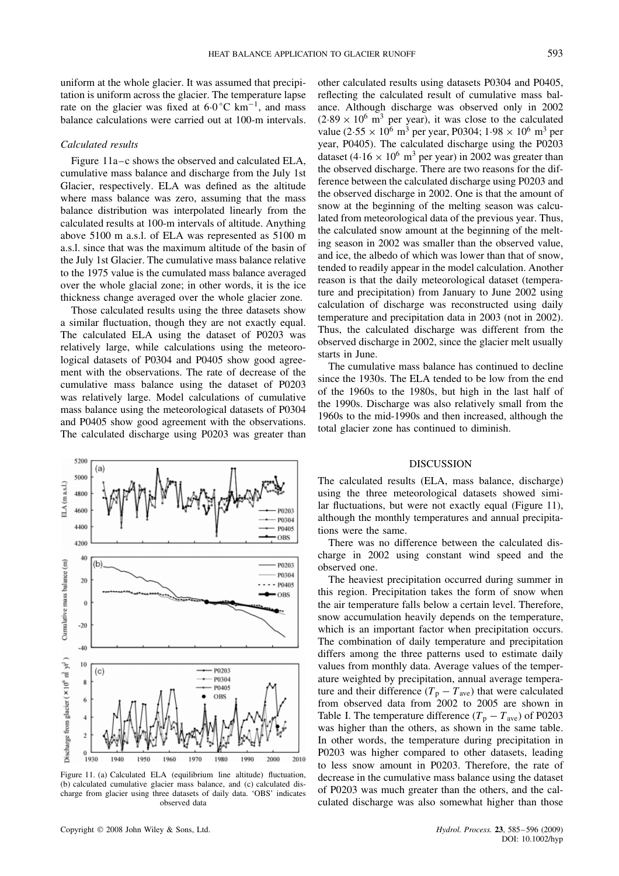uniform at the whole glacier. It was assumed that precipitation is uniform across the glacier. The temperature lapse rate on the glacier was fixed at  $6.0^{\circ}$ C km<sup>-1</sup>, and mass balance calculations were carried out at 100-m intervals.

#### *Calculated results*

Figure 11a–c shows the observed and calculated ELA, cumulative mass balance and discharge from the July 1st Glacier, respectively. ELA was defined as the altitude where mass balance was zero, assuming that the mass balance distribution was interpolated linearly from the calculated results at 100-m intervals of altitude. Anything above 5100 m a.s.l. of ELA was represented as 5100 m a.s.l. since that was the maximum altitude of the basin of the July 1st Glacier. The cumulative mass balance relative to the 1975 value is the cumulated mass balance averaged over the whole glacial zone; in other words, it is the ice thickness change averaged over the whole glacier zone.

Those calculated results using the three datasets show a similar fluctuation, though they are not exactly equal. The calculated ELA using the dataset of P0203 was relatively large, while calculations using the meteorological datasets of P0304 and P0405 show good agreement with the observations. The rate of decrease of the cumulative mass balance using the dataset of P0203 was relatively large. Model calculations of cumulative mass balance using the meteorological datasets of P0304 and P0405 show good agreement with the observations. The calculated discharge using P0203 was greater than



Figure 11. (a) Calculated ELA (equilibrium line altitude) fluctuation, (b) calculated cumulative glacier mass balance, and (c) calculated discharge from glacier using three datasets of daily data. 'OBS' indicates observed data

other calculated results using datasets P0304 and P0405, reflecting the calculated result of cumulative mass balance. Although discharge was observed only in 2002  $(2.89 \times 10^6 \text{ m}^3 \text{ per year})$ , it was close to the calculated value (2.55  $\times$  10<sup>6</sup> m<sup>3</sup> per year, P0304; 1.98  $\times$  10<sup>6</sup> m<sup>3</sup> per year, P0405). The calculated discharge using the P0203 dataset (4 $\cdot$ 16  $\times$  10<sup>6</sup> m<sup>3</sup> per year) in 2002 was greater than the observed discharge. There are two reasons for the difference between the calculated discharge using P0203 and the observed discharge in 2002. One is that the amount of snow at the beginning of the melting season was calculated from meteorological data of the previous year. Thus, the calculated snow amount at the beginning of the melting season in 2002 was smaller than the observed value, and ice, the albedo of which was lower than that of snow, tended to readily appear in the model calculation. Another reason is that the daily meteorological dataset (temperature and precipitation) from January to June 2002 using calculation of discharge was reconstructed using daily temperature and precipitation data in 2003 (not in 2002). Thus, the calculated discharge was different from the observed discharge in 2002, since the glacier melt usually starts in June.

The cumulative mass balance has continued to decline since the 1930s. The ELA tended to be low from the end of the 1960s to the 1980s, but high in the last half of the 1990s. Discharge was also relatively small from the 1960s to the mid-1990s and then increased, although the total glacier zone has continued to diminish.

## DISCUSSION

The calculated results (ELA, mass balance, discharge) using the three meteorological datasets showed similar fluctuations, but were not exactly equal (Figure 11), although the monthly temperatures and annual precipitations were the same.

There was no difference between the calculated discharge in 2002 using constant wind speed and the observed one.

The heaviest precipitation occurred during summer in this region. Precipitation takes the form of snow when the air temperature falls below a certain level. Therefore, snow accumulation heavily depends on the temperature, which is an important factor when precipitation occurs. The combination of daily temperature and precipitation differs among the three patterns used to estimate daily values from monthly data. Average values of the temperature weighted by precipitation, annual average temperature and their difference  $(T_p - T_{ave})$  that were calculated from observed data from 2002 to 2005 are shown in Table I. The temperature difference  $(T_p - T_{ave})$  of P0203 was higher than the others, as shown in the same table. In other words, the temperature during precipitation in P0203 was higher compared to other datasets, leading to less snow amount in P0203. Therefore, the rate of decrease in the cumulative mass balance using the dataset of P0203 was much greater than the others, and the calculated discharge was also somewhat higher than those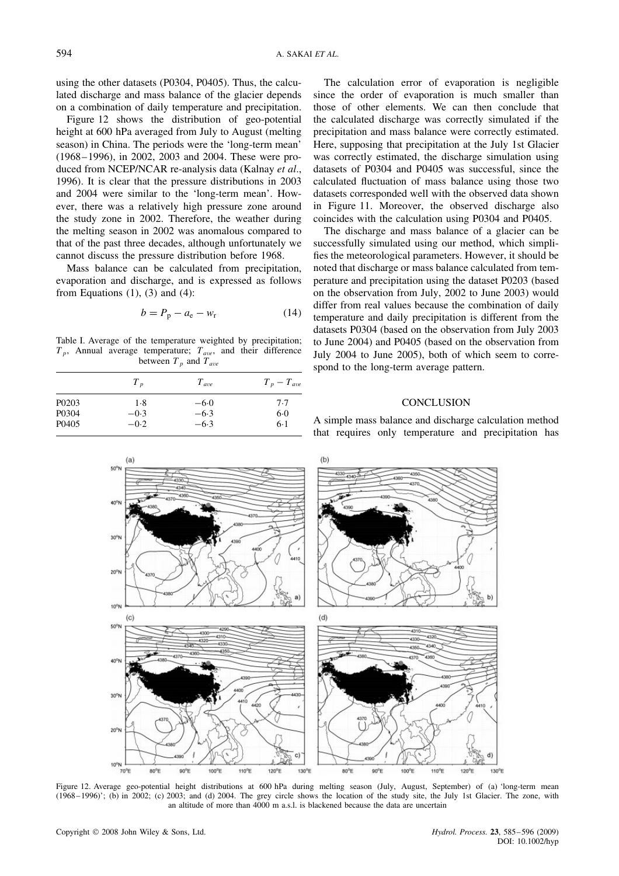using the other datasets (P0304, P0405). Thus, the calculated discharge and mass balance of the glacier depends on a combination of daily temperature and precipitation.

Figure 12 shows the distribution of geo-potential height at 600 hPa averaged from July to August (melting season) in China. The periods were the 'long-term mean' (1968–1996), in 2002, 2003 and 2004. These were produced from NCEP/NCAR re-analysis data (Kalnay *et al*., 1996). It is clear that the pressure distributions in 2003 and 2004 were similar to the 'long-term mean'. However, there was a relatively high pressure zone around the study zone in 2002. Therefore, the weather during the melting season in 2002 was anomalous compared to that of the past three decades, although unfortunately we cannot discuss the pressure distribution before 1968.

Mass balance can be calculated from precipitation, evaporation and discharge, and is expressed as follows from Equations  $(1)$ ,  $(3)$  and  $(4)$ :

$$
b = P_{\rm p} - a_{\rm e} - w_{\rm r} \tag{14}
$$

Table I. Average of the temperature weighted by precipitation;  $T_p$ , Annual average temperature;  $T_{ave}$ , and their difference between  $T_p$  and  $T_{ave}$ 

|                    | $T_{\,n}$ | $T_{ave}$ | $T_{p}-T_{ave}$ |
|--------------------|-----------|-----------|-----------------|
| P <sub>020</sub> 3 | 1.8       | $-6.0$    | 7.7             |
| P0304              | $-0.3$    | $-6.3$    | $6-0$           |
| P <sub>0405</sub>  | $-0.2$    | $-6.3$    | $6-1$           |

50

The calculation error of evaporation is negligible since the order of evaporation is much smaller than those of other elements. We can then conclude that the calculated discharge was correctly simulated if the precipitation and mass balance were correctly estimated. Here, supposing that precipitation at the July 1st Glacier was correctly estimated, the discharge simulation using datasets of P0304 and P0405 was successful, since the calculated fluctuation of mass balance using those two datasets corresponded well with the observed data shown in Figure 11. Moreover, the observed discharge also coincides with the calculation using P0304 and P0405.

The discharge and mass balance of a glacier can be successfully simulated using our method, which simplifies the meteorological parameters. However, it should be noted that discharge or mass balance calculated from temperature and precipitation using the dataset P0203 (based on the observation from July, 2002 to June 2003) would differ from real values because the combination of daily temperature and daily precipitation is different from the datasets P0304 (based on the observation from July 2003 to June 2004) and P0405 (based on the observation from July 2004 to June 2005), both of which seem to correspond to the long-term average pattern.

## **CONCLUSION**

A simple mass balance and discharge calculation method that requires only temperature and precipitation has



 $(b)$ 

Figure 12. Average geo-potential height distributions at 600 hPa during melting season (July, August, September) of (a) 'long-term mean (1968–1996)'; (b) in 2002; (c) 2003; and (d) 2004. The grey circle shows the location of the study site, the July 1st Glacier. The zone, with an altitude of more than 4000 m a.s.l. is blackened because the data are uncertain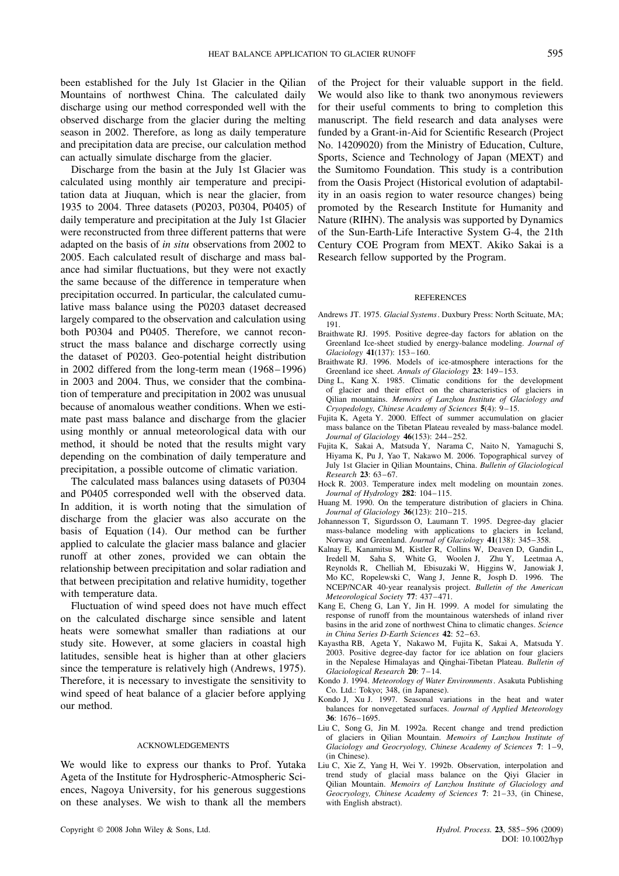been established for the July 1st Glacier in the Qilian Mountains of northwest China. The calculated daily discharge using our method corresponded well with the observed discharge from the glacier during the melting season in 2002. Therefore, as long as daily temperature and precipitation data are precise, our calculation method can actually simulate discharge from the glacier.

Discharge from the basin at the July 1st Glacier was calculated using monthly air temperature and precipitation data at Jiuquan, which is near the glacier, from 1935 to 2004. Three datasets (P0203, P0304, P0405) of daily temperature and precipitation at the July 1st Glacier were reconstructed from three different patterns that were adapted on the basis of *in situ* observations from 2002 to 2005. Each calculated result of discharge and mass balance had similar fluctuations, but they were not exactly the same because of the difference in temperature when precipitation occurred. In particular, the calculated cumulative mass balance using the P0203 dataset decreased largely compared to the observation and calculation using both P0304 and P0405. Therefore, we cannot reconstruct the mass balance and discharge correctly using the dataset of P0203. Geo-potential height distribution in 2002 differed from the long-term mean (1968–1996) in 2003 and 2004. Thus, we consider that the combination of temperature and precipitation in 2002 was unusual because of anomalous weather conditions. When we estimate past mass balance and discharge from the glacier using monthly or annual meteorological data with our method, it should be noted that the results might vary depending on the combination of daily temperature and precipitation, a possible outcome of climatic variation.

The calculated mass balances using datasets of P0304 and P0405 corresponded well with the observed data. In addition, it is worth noting that the simulation of discharge from the glacier was also accurate on the basis of Equation (14). Our method can be further applied to calculate the glacier mass balance and glacier runoff at other zones, provided we can obtain the relationship between precipitation and solar radiation and that between precipitation and relative humidity, together with temperature data.

Fluctuation of wind speed does not have much effect on the calculated discharge since sensible and latent heats were somewhat smaller than radiations at our study site. However, at some glaciers in coastal high latitudes, sensible heat is higher than at other glaciers since the temperature is relatively high (Andrews, 1975). Therefore, it is necessary to investigate the sensitivity to wind speed of heat balance of a glacier before applying our method.

### ACKNOWLEDGEMENTS

We would like to express our thanks to Prof. Yutaka Ageta of the Institute for Hydrospheric-Atmospheric Sciences, Nagoya University, for his generous suggestions on these analyses. We wish to thank all the members

of the Project for their valuable support in the field. We would also like to thank two anonymous reviewers for their useful comments to bring to completion this manuscript. The field research and data analyses were funded by a Grant-in-Aid for Scientific Research (Project No. 14209020) from the Ministry of Education, Culture, Sports, Science and Technology of Japan (MEXT) and the Sumitomo Foundation. This study is a contribution from the Oasis Project (Historical evolution of adaptability in an oasis region to water resource changes) being promoted by the Research Institute for Humanity and Nature (RIHN). The analysis was supported by Dynamics of the Sun-Earth-Life Interactive System G-4, the 21th Century COE Program from MEXT. Akiko Sakai is a Research fellow supported by the Program.

#### **REFERENCES**

- Andrews JT. 1975. *Glacial Systems*. Duxbury Press: North Scituate, MA; 191.
- Braithwate RJ. 1995. Positive degree-day factors for ablation on the Greenland Ice-sheet studied by energy-balance modeling. *Journal of Glaciology* **41**(137): 153–160.
- Braithwate RJ. 1996. Models of ice-atmosphere interactions for the Greenland ice sheet. *Annals of Glaciology* **23**: 149–153.
- Ding L, Kang X. 1985. Climatic conditions for the development of glacier and their effect on the characteristics of glaciers in Qilian mountains. *Memoirs of Lanzhou Institute of Glaciology and Cryopedology, Chinese Academy of Sciences* **5**(4): 9–15.
- Fujita K, Ageta Y. 2000. Effect of summer accumulation on glacier mass balance on the Tibetan Plateau revealed by mass-balance model. *Journal of Glaciology* **46**(153): 244–252.
- Fujita K, Sakai A, Matsuda Y, Narama C, Naito N, Yamaguchi S, Hiyama K, Pu J, Yao T, Nakawo M. 2006. Topographical survey of July 1st Glacier in Qilian Mountains, China. *Bulletin of Glaciological Research* **23**: 63–67.
- Hock R. 2003. Temperature index melt modeling on mountain zones. *Journal of Hydrology* **282**: 104–115.
- Huang M. 1990. On the temperature distribution of glaciers in China. *Journal of Glaciology* **36**(123): 210–215.
- Johannesson T, Sigurdsson O, Laumann T. 1995. Degree-day glacier mass-balance modeling with applications to glaciers in Iceland, Norway and Greenland. *Journal of Glaciology* **41**(138): 345–358.
- Kalnay E, Kanamitsu M, Kistler R, Collins W, Deaven D, Gandin L, Iredell M, Saha S, White G, Woolen J, Zhu Y, Leetmaa A, Reynolds R, Chelliah M, Ebisuzaki W, Higgins W, Janowiak J, Mo KC, Ropelewski C, Wang J, Jenne R, Josph D. 1996. The NCEP/NCAR 40-year reanalysis project. *Bulletin of the American Meteorological Society* **77**: 437–471.
- Kang E, Cheng G, Lan Y, Jin H. 1999. A model for simulating the response of runoff from the mountainous watersheds of inland river basins in the arid zone of northwest China to climatic changes. *Science in China Series D-Earth Sciences* **42**: 52–63.
- Kayastha RB, Ageta Y, Nakawo M, Fujita K, Sakai A, Matsuda Y. 2003. Positive degree-day factor for ice ablation on four glaciers in the Nepalese Himalayas and Qinghai-Tibetan Plateau. *Bulletin of Glaciological Research* **20**: 7–14.
- Kondo J. 1994. *Meteorology of Water Environments*. Asakuta Publishing Co. Ltd.: Tokyo; 348, (in Japanese).
- Kondo J, Xu J. 1997. Seasonal variations in the heat and water balances for nonvegetated surfaces. *Journal of Applied Meteorology* **36**: 1676–1695.
- Liu C, Song G, Jin M. 1992a. Recent change and trend prediction of glaciers in Qilian Mountain. *Memoirs of Lanzhou Institute of Glaciology and Geocryology, Chinese Academy of Sciences* **7**: 1–9, (in Chinese).
- Liu C, Xie Z, Yang H, Wei Y. 1992b. Observation, interpolation and trend study of glacial mass balance on the Qiyi Glacier in Qilian Mountain. *Memoirs of Lanzhou Institute of Glaciology and Geocryology, Chinese Academy of Sciences* **7**: 21–33, (in Chinese, with English abstract).